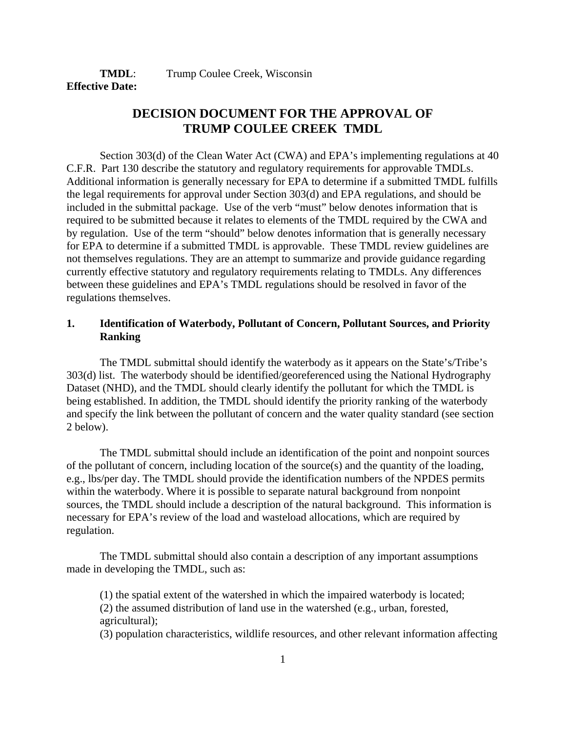**TMDL:** Trump Coulee Creek, Wisconsin **Effective Date:**

# **DECISION DOCUMENT FOR THE APPROVAL OF TRUMP COULEE CREEK TMDL**

Section 303(d) of the Clean Water Act (CWA) and EPA's implementing regulations at 40 C.F.R. Part 130 describe the statutory and regulatory requirements for approvable TMDLs. Additional information is generally necessary for EPA to determine if a submitted TMDL fulfills the legal requirements for approval under Section 303(d) and EPA regulations, and should be included in the submittal package. Use of the verb "must" below denotes information that is required to be submitted because it relates to elements of the TMDL required by the CWA and by regulation. Use of the term "should" below denotes information that is generally necessary for EPA to determine if a submitted TMDL is approvable. These TMDL review guidelines are not themselves regulations. They are an attempt to summarize and provide guidance regarding currently effective statutory and regulatory requirements relating to TMDLs. Any differences between these guidelines and EPA's TMDL regulations should be resolved in favor of the regulations themselves.

# **1. Identification of Waterbody, Pollutant of Concern, Pollutant Sources, and Priority Ranking**

The TMDL submittal should identify the waterbody as it appears on the State's/Tribe's 303(d) list. The waterbody should be identified/georeferenced using the National Hydrography Dataset (NHD), and the TMDL should clearly identify the pollutant for which the TMDL is being established. In addition, the TMDL should identify the priority ranking of the waterbody and specify the link between the pollutant of concern and the water quality standard (see section 2 below).

The TMDL submittal should include an identification of the point and nonpoint sources of the pollutant of concern, including location of the source(s) and the quantity of the loading, e.g., lbs/per day. The TMDL should provide the identification numbers of the NPDES permits within the waterbody. Where it is possible to separate natural background from nonpoint sources, the TMDL should include a description of the natural background. This information is necessary for EPA's review of the load and wasteload allocations, which are required by regulation.

The TMDL submittal should also contain a description of any important assumptions made in developing the TMDL, such as:

(1) the spatial extent of the watershed in which the impaired waterbody is located; (2) the assumed distribution of land use in the watershed (e.g., urban, forested, agricultural);

(3) population characteristics, wildlife resources, and other relevant information affecting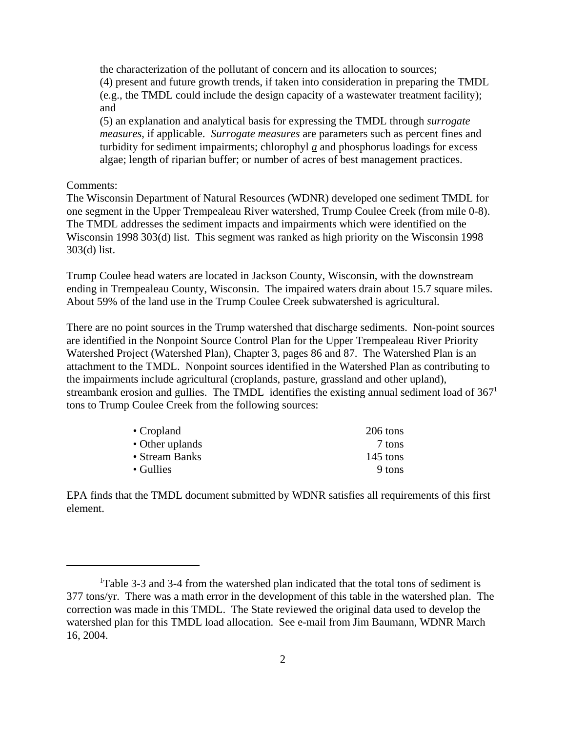the characterization of the pollutant of concern and its allocation to sources; (4) present and future growth trends, if taken into consideration in preparing the TMDL (e.g., the TMDL could include the design capacity of a wastewater treatment facility); and

(5) an explanation and analytical basis for expressing the TMDL through *surrogate measures*, if applicable. *Surrogate measures* are parameters such as percent fines and turbidity for sediment impairments; chlorophyl  $a$  and phosphorus loadings for excess algae; length of riparian buffer; or number of acres of best management practices.

### Comments:

The Wisconsin Department of Natural Resources (WDNR) developed one sediment TMDL for one segment in the Upper Trempealeau River watershed, Trump Coulee Creek (from mile 0-8). The TMDL addresses the sediment impacts and impairments which were identified on the Wisconsin 1998 303(d) list. This segment was ranked as high priority on the Wisconsin 1998 303(d) list.

Trump Coulee head waters are located in Jackson County, Wisconsin, with the downstream ending in Trempealeau County, Wisconsin. The impaired waters drain about 15.7 square miles. About 59% of the land use in the Trump Coulee Creek subwatershed is agricultural.

There are no point sources in the Trump watershed that discharge sediments. Non-point sources are identified in the Nonpoint Source Control Plan for the Upper Trempealeau River Priority Watershed Project (Watershed Plan), Chapter 3, pages 86 and 87. The Watershed Plan is an attachment to the TMDL. Nonpoint sources identified in the Watershed Plan as contributing to the impairments include agricultural (croplands, pasture, grassland and other upland), streambank erosion and gullies. The TMDL identifies the existing annual sediment load of  $367<sup>1</sup>$ tons to Trump Coulee Creek from the following sources:

| 206 tons   |
|------------|
| 7 tons     |
| $145$ tons |
| 9 tons     |
|            |

EPA finds that the TMDL document submitted by WDNR satisfies all requirements of this first element.

<sup>&</sup>lt;sup>1</sup>Table 3-3 and 3-4 from the watershed plan indicated that the total tons of sediment is 377 tons/yr. There was a math error in the development of this table in the watershed plan. The correction was made in this TMDL. The State reviewed the original data used to develop the watershed plan for this TMDL load allocation. See e-mail from Jim Baumann, WDNR March 16, 2004.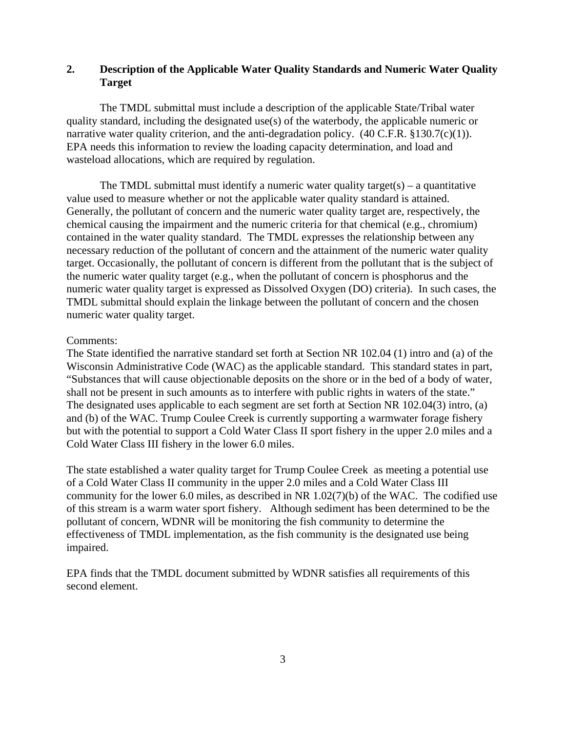# **2. Description of the Applicable Water Quality Standards and Numeric Water Quality Target**

The TMDL submittal must include a description of the applicable State/Tribal water quality standard, including the designated use(s) of the waterbody, the applicable numeric or narrative water quality criterion, and the anti-degradation policy.  $(40 \text{ C.F.R. } §130.7(c)(1))$ . EPA needs this information to review the loading capacity determination, and load and wasteload allocations, which are required by regulation.

The TMDL submittal must identify a numeric water quality target(s) – a quantitative value used to measure whether or not the applicable water quality standard is attained. Generally, the pollutant of concern and the numeric water quality target are, respectively, the chemical causing the impairment and the numeric criteria for that chemical (e.g., chromium) contained in the water quality standard. The TMDL expresses the relationship between any necessary reduction of the pollutant of concern and the attainment of the numeric water quality target. Occasionally, the pollutant of concern is different from the pollutant that is the subject of the numeric water quality target (e.g., when the pollutant of concern is phosphorus and the numeric water quality target is expressed as Dissolved Oxygen (DO) criteria). In such cases, the TMDL submittal should explain the linkage between the pollutant of concern and the chosen numeric water quality target.

### Comments:

The State identified the narrative standard set forth at Section NR 102.04 (1) intro and (a) of the Wisconsin Administrative Code (WAC) as the applicable standard. This standard states in part, "Substances that will cause objectionable deposits on the shore or in the bed of a body of water, shall not be present in such amounts as to interfere with public rights in waters of the state." The designated uses applicable to each segment are set forth at Section NR 102.04(3) intro, (a) and (b) of the WAC. Trump Coulee Creek is currently supporting a warmwater forage fishery but with the potential to support a Cold Water Class II sport fishery in the upper 2.0 miles and a Cold Water Class III fishery in the lower 6.0 miles.

The state established a water quality target for Trump Coulee Creek as meeting a potential use of a Cold Water Class II community in the upper 2.0 miles and a Cold Water Class III community for the lower 6.0 miles, as described in NR 1.02(7)(b) of the WAC. The codified use of this stream is a warm water sport fishery. Although sediment has been determined to be the pollutant of concern, WDNR will be monitoring the fish community to determine the effectiveness of TMDL implementation, as the fish community is the designated use being impaired.

EPA finds that the TMDL document submitted by WDNR satisfies all requirements of this second element.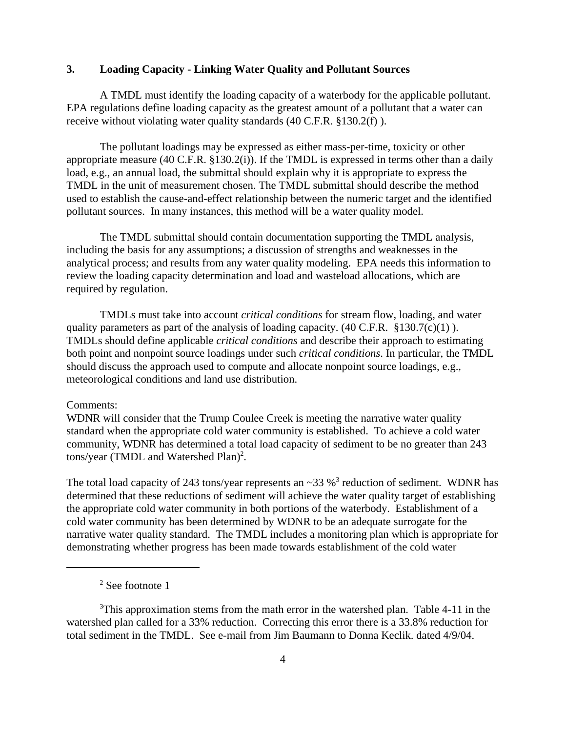### **3. Loading Capacity - Linking Water Quality and Pollutant Sources**

A TMDL must identify the loading capacity of a waterbody for the applicable pollutant. EPA regulations define loading capacity as the greatest amount of a pollutant that a water can receive without violating water quality standards (40 C.F.R. §130.2(f) ).

The pollutant loadings may be expressed as either mass-per-time, toxicity or other appropriate measure (40 C.F.R. §130.2(i)). If the TMDL is expressed in terms other than a daily load, e.g., an annual load, the submittal should explain why it is appropriate to express the TMDL in the unit of measurement chosen. The TMDL submittal should describe the method used to establish the cause-and-effect relationship between the numeric target and the identified pollutant sources. In many instances, this method will be a water quality model.

The TMDL submittal should contain documentation supporting the TMDL analysis, including the basis for any assumptions; a discussion of strengths and weaknesses in the analytical process; and results from any water quality modeling. EPA needs this information to review the loading capacity determination and load and wasteload allocations, which are required by regulation.

TMDLs must take into account *critical conditions* for stream flow, loading, and water quality parameters as part of the analysis of loading capacity.  $(40 \text{ C.F.R. } §130.7(c)(1))$ . TMDLs should define applicable *critical conditions* and describe their approach to estimating both point and nonpoint source loadings under such *critical conditions*. In particular, the TMDL should discuss the approach used to compute and allocate nonpoint source loadings, e.g., meteorological conditions and land use distribution.

#### Comments:

WDNR will consider that the Trump Coulee Creek is meeting the narrative water quality standard when the appropriate cold water community is established. To achieve a cold water community, WDNR has determined a total load capacity of sediment to be no greater than 243 tons/year (TMDL and Watershed Plan)<sup>2</sup>.

The total load capacity of 243 tons/year represents an  $\sim$ 33 %<sup>3</sup> reduction of sediment. WDNR has determined that these reductions of sediment will achieve the water quality target of establishing the appropriate cold water community in both portions of the waterbody. Establishment of a cold water community has been determined by WDNR to be an adequate surrogate for the narrative water quality standard. The TMDL includes a monitoring plan which is appropriate for demonstrating whether progress has been made towards establishment of the cold water

<sup>&</sup>lt;sup>2</sup> See footnote 1

 $3$ This approximation stems from the math error in the watershed plan. Table 4-11 in the watershed plan called for a 33% reduction. Correcting this error there is a 33.8% reduction for total sediment in the TMDL. See e-mail from Jim Baumann to Donna Keclik. dated 4/9/04.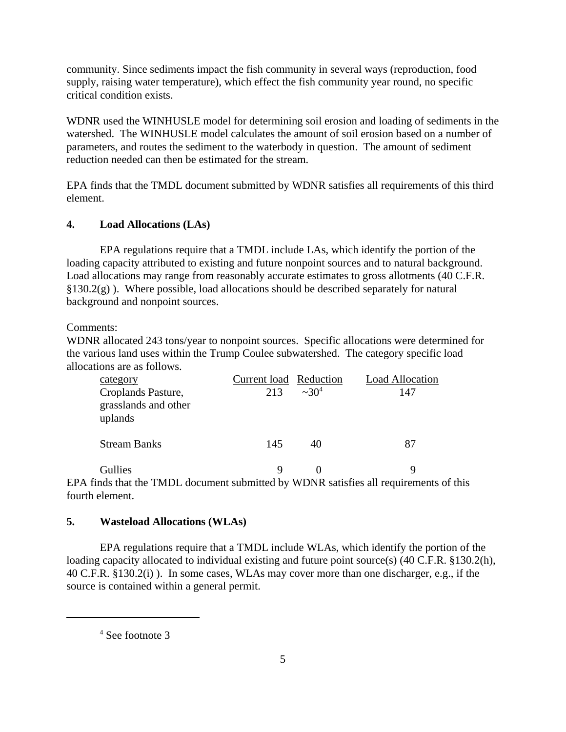community. Since sediments impact the fish community in several ways (reproduction, food supply, raising water temperature), which effect the fish community year round, no specific critical condition exists.

WDNR used the WINHUSLE model for determining soil erosion and loading of sediments in the watershed. The WINHUSLE model calculates the amount of soil erosion based on a number of parameters, and routes the sediment to the waterbody in question. The amount of sediment reduction needed can then be estimated for the stream.

EPA finds that the TMDL document submitted by WDNR satisfies all requirements of this third element.

# **4. Load Allocations (LAs)**

EPA regulations require that a TMDL include LAs, which identify the portion of the loading capacity attributed to existing and future nonpoint sources and to natural background. Load allocations may range from reasonably accurate estimates to gross allotments (40 C.F.R.  $§130.2(g)$ ). Where possible, load allocations should be described separately for natural background and nonpoint sources.

Comments:

WDNR allocated 243 tons/year to nonpoint sources. Specific allocations were determined for the various land uses within the Trump Coulee subwatershed. The category specific load allocations are as follows.

| category<br>Croplands Pasture,<br>grasslands and other<br>uplands | Current load Reduction<br>213 | $\sim 30^4$ | <b>Load Allocation</b><br>147 |
|-------------------------------------------------------------------|-------------------------------|-------------|-------------------------------|
| <b>Stream Banks</b>                                               | 145                           | 40          | 87                            |
| Gullies                                                           | 9                             |             | q                             |

EPA finds that the TMDL document submitted by WDNR satisfies all requirements of this fourth element.

# **5. Wasteload Allocations (WLAs)**

EPA regulations require that a TMDL include WLAs, which identify the portion of the loading capacity allocated to individual existing and future point source(s) (40 C.F.R. §130.2(h), 40 C.F.R. §130.2(i) ). In some cases, WLAs may cover more than one discharger, e.g., if the source is contained within a general permit.

<sup>4</sup> See footnote 3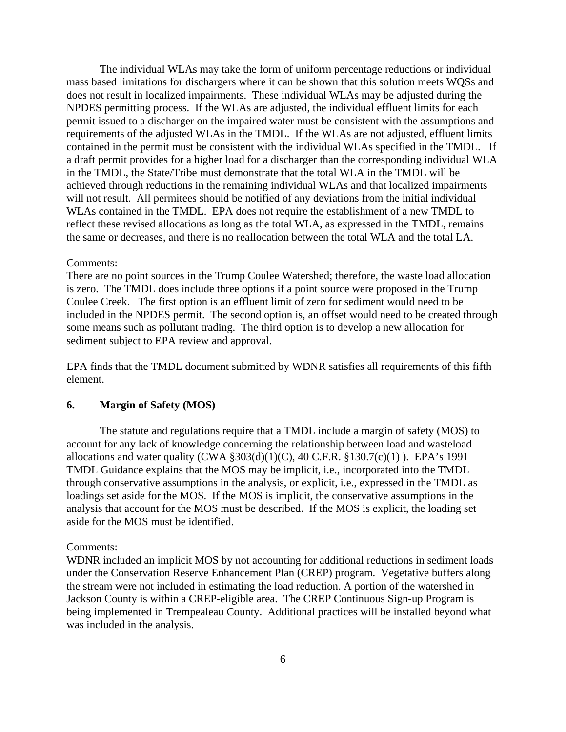The individual WLAs may take the form of uniform percentage reductions or individual mass based limitations for dischargers where it can be shown that this solution meets WQSs and does not result in localized impairments. These individual WLAs may be adjusted during the NPDES permitting process. If the WLAs are adjusted, the individual effluent limits for each permit issued to a discharger on the impaired water must be consistent with the assumptions and requirements of the adjusted WLAs in the TMDL. If the WLAs are not adjusted, effluent limits contained in the permit must be consistent with the individual WLAs specified in the TMDL. If a draft permit provides for a higher load for a discharger than the corresponding individual WLA in the TMDL, the State/Tribe must demonstrate that the total WLA in the TMDL will be achieved through reductions in the remaining individual WLAs and that localized impairments will not result. All permitees should be notified of any deviations from the initial individual WLAs contained in the TMDL. EPA does not require the establishment of a new TMDL to reflect these revised allocations as long as the total WLA, as expressed in the TMDL, remains the same or decreases, and there is no reallocation between the total WLA and the total LA.

#### Comments:

There are no point sources in the Trump Coulee Watershed; therefore, the waste load allocation is zero. The TMDL does include three options if a point source were proposed in the Trump Coulee Creek. The first option is an effluent limit of zero for sediment would need to be included in the NPDES permit. The second option is, an offset would need to be created through some means such as pollutant trading. The third option is to develop a new allocation for sediment subject to EPA review and approval.

EPA finds that the TMDL document submitted by WDNR satisfies all requirements of this fifth element.

## **6. Margin of Safety (MOS)**

The statute and regulations require that a TMDL include a margin of safety (MOS) to account for any lack of knowledge concerning the relationship between load and wasteload allocations and water quality (CWA  $\S 303(d)(1)(C)$ , 40 C.F.R.  $\S 130.7(c)(1)$ ). EPA's 1991 TMDL Guidance explains that the MOS may be implicit, i.e., incorporated into the TMDL through conservative assumptions in the analysis, or explicit, i.e., expressed in the TMDL as loadings set aside for the MOS. If the MOS is implicit, the conservative assumptions in the analysis that account for the MOS must be described. If the MOS is explicit, the loading set aside for the MOS must be identified.

#### Comments:

WDNR included an implicit MOS by not accounting for additional reductions in sediment loads under the Conservation Reserve Enhancement Plan (CREP) program. Vegetative buffers along the stream were not included in estimating the load reduction. A portion of the watershed in Jackson County is within a CREP-eligible area. The CREP Continuous Sign-up Program is being implemented in Trempealeau County. Additional practices will be installed beyond what was included in the analysis.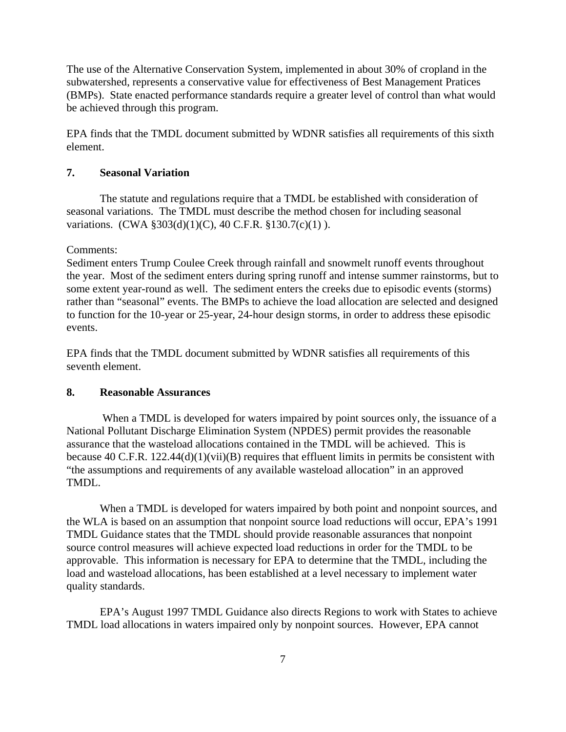The use of the Alternative Conservation System, implemented in about 30% of cropland in the subwatershed, represents a conservative value for effectiveness of Best Management Pratices (BMPs). State enacted performance standards require a greater level of control than what would be achieved through this program.

EPA finds that the TMDL document submitted by WDNR satisfies all requirements of this sixth element.

## **7. Seasonal Variation**

The statute and regulations require that a TMDL be established with consideration of seasonal variations. The TMDL must describe the method chosen for including seasonal variations. (CWA §303(d)(1)(C), 40 C.F.R. §130.7(c)(1) ).

#### Comments:

Sediment enters Trump Coulee Creek through rainfall and snowmelt runoff events throughout the year. Most of the sediment enters during spring runoff and intense summer rainstorms, but to some extent year-round as well. The sediment enters the creeks due to episodic events (storms) rather than "seasonal" events. The BMPs to achieve the load allocation are selected and designed to function for the 10-year or 25-year, 24-hour design storms, in order to address these episodic events.

EPA finds that the TMDL document submitted by WDNR satisfies all requirements of this seventh element.

## **8. Reasonable Assurances**

 When a TMDL is developed for waters impaired by point sources only, the issuance of a National Pollutant Discharge Elimination System (NPDES) permit provides the reasonable assurance that the wasteload allocations contained in the TMDL will be achieved. This is because 40 C.F.R. 122.44(d)(1)(vii)(B) requires that effluent limits in permits be consistent with "the assumptions and requirements of any available wasteload allocation" in an approved TMDL.

When a TMDL is developed for waters impaired by both point and nonpoint sources, and the WLA is based on an assumption that nonpoint source load reductions will occur, EPA's 1991 TMDL Guidance states that the TMDL should provide reasonable assurances that nonpoint source control measures will achieve expected load reductions in order for the TMDL to be approvable. This information is necessary for EPA to determine that the TMDL, including the load and wasteload allocations, has been established at a level necessary to implement water quality standards.

EPA's August 1997 TMDL Guidance also directs Regions to work with States to achieve TMDL load allocations in waters impaired only by nonpoint sources. However, EPA cannot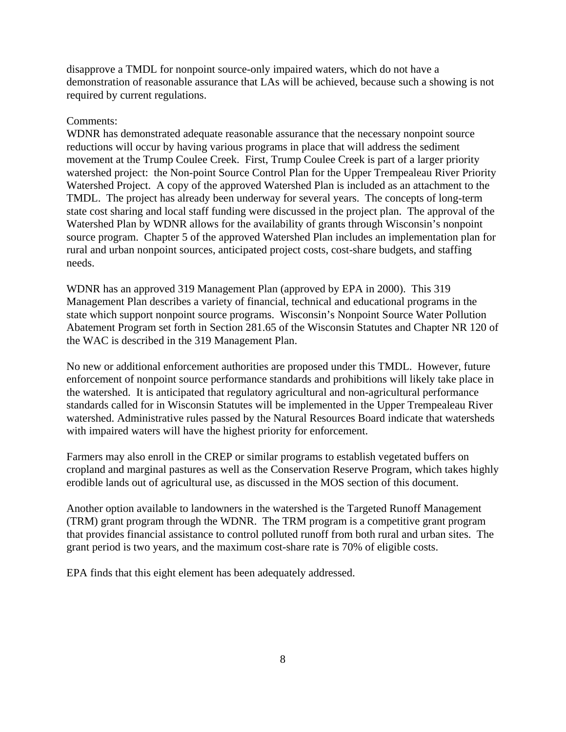disapprove a TMDL for nonpoint source-only impaired waters, which do not have a demonstration of reasonable assurance that LAs will be achieved, because such a showing is not required by current regulations.

## Comments:

WDNR has demonstrated adequate reasonable assurance that the necessary nonpoint source reductions will occur by having various programs in place that will address the sediment movement at the Trump Coulee Creek. First, Trump Coulee Creek is part of a larger priority watershed project: the Non-point Source Control Plan for the Upper Trempealeau River Priority Watershed Project. A copy of the approved Watershed Plan is included as an attachment to the TMDL. The project has already been underway for several years. The concepts of long-term state cost sharing and local staff funding were discussed in the project plan. The approval of the Watershed Plan by WDNR allows for the availability of grants through Wisconsin's nonpoint source program. Chapter 5 of the approved Watershed Plan includes an implementation plan for rural and urban nonpoint sources, anticipated project costs, cost-share budgets, and staffing needs.

WDNR has an approved 319 Management Plan (approved by EPA in 2000). This 319 Management Plan describes a variety of financial, technical and educational programs in the state which support nonpoint source programs. Wisconsin's Nonpoint Source Water Pollution Abatement Program set forth in Section 281.65 of the Wisconsin Statutes and Chapter NR 120 of the WAC is described in the 319 Management Plan.

No new or additional enforcement authorities are proposed under this TMDL. However, future enforcement of nonpoint source performance standards and prohibitions will likely take place in the watershed. It is anticipated that regulatory agricultural and non-agricultural performance standards called for in Wisconsin Statutes will be implemented in the Upper Trempealeau River watershed. Administrative rules passed by the Natural Resources Board indicate that watersheds with impaired waters will have the highest priority for enforcement.

Farmers may also enroll in the CREP or similar programs to establish vegetated buffers on cropland and marginal pastures as well as the Conservation Reserve Program, which takes highly erodible lands out of agricultural use, as discussed in the MOS section of this document.

Another option available to landowners in the watershed is the Targeted Runoff Management (TRM) grant program through the WDNR. The TRM program is a competitive grant program that provides financial assistance to control polluted runoff from both rural and urban sites. The grant period is two years, and the maximum cost-share rate is 70% of eligible costs.

EPA finds that this eight element has been adequately addressed.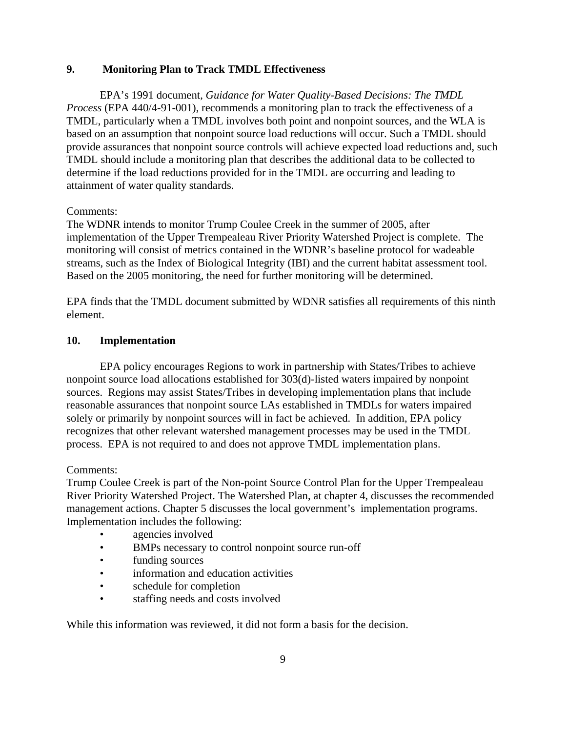# **9. Monitoring Plan to Track TMDL Effectiveness**

EPA's 1991 document, *Guidance for Water Quality-Based Decisions: The TMDL Process* (EPA 440/4-91-001), recommends a monitoring plan to track the effectiveness of a TMDL, particularly when a TMDL involves both point and nonpoint sources, and the WLA is based on an assumption that nonpoint source load reductions will occur. Such a TMDL should provide assurances that nonpoint source controls will achieve expected load reductions and, such TMDL should include a monitoring plan that describes the additional data to be collected to determine if the load reductions provided for in the TMDL are occurring and leading to attainment of water quality standards.

# Comments:

The WDNR intends to monitor Trump Coulee Creek in the summer of 2005, after implementation of the Upper Trempealeau River Priority Watershed Project is complete. The monitoring will consist of metrics contained in the WDNR's baseline protocol for wadeable streams, such as the Index of Biological Integrity (IBI) and the current habitat assessment tool. Based on the 2005 monitoring, the need for further monitoring will be determined.

EPA finds that the TMDL document submitted by WDNR satisfies all requirements of this ninth element.

# **10. Implementation**

EPA policy encourages Regions to work in partnership with States/Tribes to achieve nonpoint source load allocations established for 303(d)-listed waters impaired by nonpoint sources. Regions may assist States/Tribes in developing implementation plans that include reasonable assurances that nonpoint source LAs established in TMDLs for waters impaired solely or primarily by nonpoint sources will in fact be achieved. In addition, EPA policy recognizes that other relevant watershed management processes may be used in the TMDL process. EPA is not required to and does not approve TMDL implementation plans.

## Comments:

Trump Coulee Creek is part of the Non-point Source Control Plan for the Upper Trempealeau River Priority Watershed Project. The Watershed Plan, at chapter 4, discusses the recommended management actions. Chapter 5 discusses the local government's implementation programs. Implementation includes the following:

- agencies involved
- BMPs necessary to control nonpoint source run-off
- funding sources
- information and education activities
- schedule for completion
- staffing needs and costs involved

While this information was reviewed, it did not form a basis for the decision.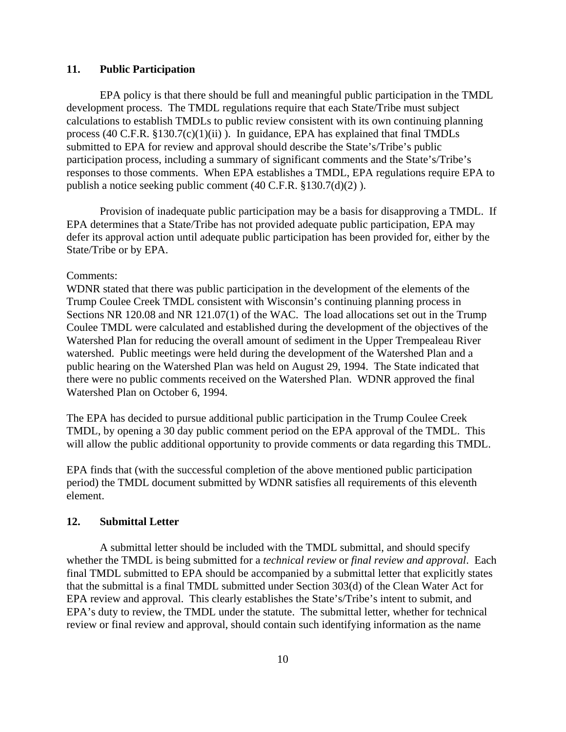## **11. Public Participation**

EPA policy is that there should be full and meaningful public participation in the TMDL development process. The TMDL regulations require that each State/Tribe must subject calculations to establish TMDLs to public review consistent with its own continuing planning process (40 C.F.R.  $\S 130.7(c)(1)(ii)$ ). In guidance, EPA has explained that final TMDLs submitted to EPA for review and approval should describe the State's/Tribe's public participation process, including a summary of significant comments and the State's/Tribe's responses to those comments. When EPA establishes a TMDL, EPA regulations require EPA to publish a notice seeking public comment (40 C.F.R. §130.7(d)(2) ).

Provision of inadequate public participation may be a basis for disapproving a TMDL. If EPA determines that a State/Tribe has not provided adequate public participation, EPA may defer its approval action until adequate public participation has been provided for, either by the State/Tribe or by EPA.

#### Comments:

WDNR stated that there was public participation in the development of the elements of the Trump Coulee Creek TMDL consistent with Wisconsin's continuing planning process in Sections NR 120.08 and NR 121.07(1) of the WAC. The load allocations set out in the Trump Coulee TMDL were calculated and established during the development of the objectives of the Watershed Plan for reducing the overall amount of sediment in the Upper Trempealeau River watershed. Public meetings were held during the development of the Watershed Plan and a public hearing on the Watershed Plan was held on August 29, 1994. The State indicated that there were no public comments received on the Watershed Plan. WDNR approved the final Watershed Plan on October 6, 1994.

The EPA has decided to pursue additional public participation in the Trump Coulee Creek TMDL, by opening a 30 day public comment period on the EPA approval of the TMDL. This will allow the public additional opportunity to provide comments or data regarding this TMDL.

EPA finds that (with the successful completion of the above mentioned public participation period) the TMDL document submitted by WDNR satisfies all requirements of this eleventh element.

#### **12. Submittal Letter**

A submittal letter should be included with the TMDL submittal, and should specify whether the TMDL is being submitted for a *technical review* or *final review and approval*. Each final TMDL submitted to EPA should be accompanied by a submittal letter that explicitly states that the submittal is a final TMDL submitted under Section 303(d) of the Clean Water Act for EPA review and approval. This clearly establishes the State's/Tribe's intent to submit, and EPA's duty to review, the TMDL under the statute. The submittal letter, whether for technical review or final review and approval, should contain such identifying information as the name